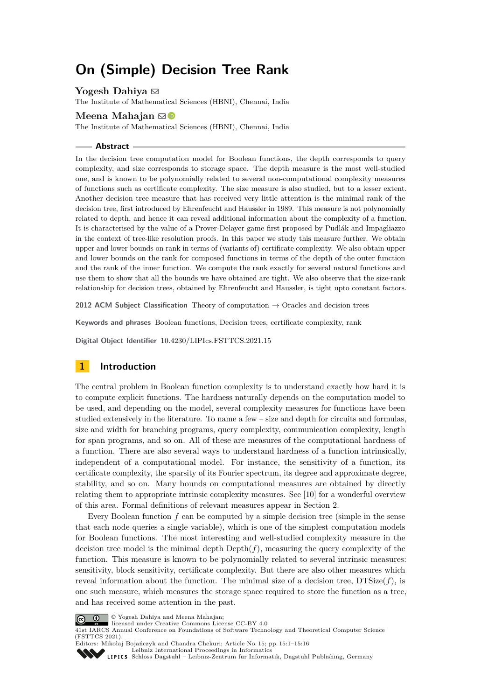# **On (Simple) Decision Tree Rank**

**Yogesh Dahiya** ⊠

The Institute of Mathematical Sciences (HBNI), Chennai, India

# **Meena Mahajan** ⊠<sup>®</sup>

The Institute of Mathematical Sciences (HBNI), Chennai, India

### **Abstract**

In the decision tree computation model for Boolean functions, the depth corresponds to query complexity, and size corresponds to storage space. The depth measure is the most well-studied one, and is known to be polynomially related to several non-computational complexity measures of functions such as certificate complexity. The size measure is also studied, but to a lesser extent. Another decision tree measure that has received very little attention is the minimal rank of the decision tree, first introduced by Ehrenfeucht and Haussler in 1989. This measure is not polynomially related to depth, and hence it can reveal additional information about the complexity of a function. It is characterised by the value of a Prover-Delayer game first proposed by Pudlák and Impagliazzo in the context of tree-like resolution proofs. In this paper we study this measure further. We obtain upper and lower bounds on rank in terms of (variants of) certificate complexity. We also obtain upper and lower bounds on the rank for composed functions in terms of the depth of the outer function and the rank of the inner function. We compute the rank exactly for several natural functions and use them to show that all the bounds we have obtained are tight. We also observe that the size-rank relationship for decision trees, obtained by Ehrenfeucht and Haussler, is tight upto constant factors.

**2012 ACM Subject Classification** Theory of computation → Oracles and decision trees

**Keywords and phrases** Boolean functions, Decision trees, certificate complexity, rank

**Digital Object Identifier** [10.4230/LIPIcs.FSTTCS.2021.15](https://doi.org/10.4230/LIPIcs.FSTTCS.2021.15)

# <span id="page-0-0"></span>**1 Introduction**

The central problem in Boolean function complexity is to understand exactly how hard it is to compute explicit functions. The hardness naturally depends on the computation model to be used, and depending on the model, several complexity measures for functions have been studied extensively in the literature. To name a few – size and depth for circuits and formulas, size and width for branching programs, query complexity, communication complexity, length for span programs, and so on. All of these are measures of the computational hardness of a function. There are also several ways to understand hardness of a function intrinsically, independent of a computational model. For instance, the sensitivity of a function, its certificate complexity, the sparsity of its Fourier spectrum, its degree and approximate degree, stability, and so on. Many bounds on computational measures are obtained by directly relating them to appropriate intrinsic complexity measures. See [\[10\]](#page-15-0) for a wonderful overview of this area. Formal definitions of relevant measures appear in Section [2.](#page-2-0)

Every Boolean function *f* can be computed by a simple decision tree (simple in the sense that each node queries a single variable), which is one of the simplest computation models for Boolean functions. The most interesting and well-studied complexity measure in the decision tree model is the minimal depth  $Depth(f)$ , measuring the query complexity of the function. This measure is known to be polynomially related to several intrinsic measures: sensitivity, block sensitivity, certificate complexity. But there are also other measures which reveal information about the function. The minimal size of a decision tree, DTSize(*f*), is one such measure, which measures the storage space required to store the function as a tree, and has received some attention in the past.



© Yogesh Dahiya and Meena Mahajan;

licensed under Creative Commons License CC-BY 4.0

41st IARCS Annual Conference on Foundations of Software Technology and Theoretical Computer Science (FSTTCS 2021).

Editors: Mikołaj Bojańczyk and Chandra Chekuri; Article No. 15; pp. 15:1–15:16 [Leibniz International Proceedings in Informatics](https://www.dagstuhl.de/lipics/)

[Schloss Dagstuhl – Leibniz-Zentrum für Informatik, Dagstuhl Publishing, Germany](https://www.dagstuhl.de)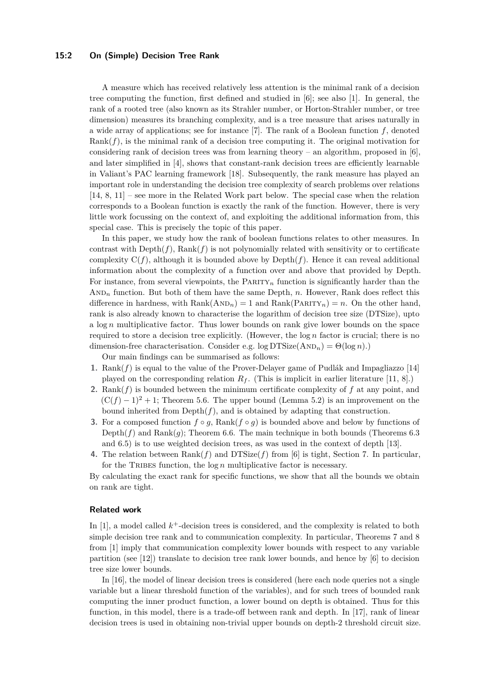### **15:2 On (Simple) Decision Tree Rank**

A measure which has received relatively less attention is the minimal rank of a decision tree computing the function, first defined and studied in [\[6\]](#page-15-1); see also [\[1\]](#page-15-2). In general, the rank of a rooted tree (also known as its Strahler number, or Horton-Strahler number, or tree dimension) measures its branching complexity, and is a tree measure that arises naturally in a wide array of applications; see for instance [\[7\]](#page-15-3). The rank of a Boolean function *f*, denoted Rank(*f*), is the minimal rank of a decision tree computing it. The original motivation for considering rank of decision trees was from learning theory – an algorithm, proposed in  $[6]$ , and later simplified in [\[4\]](#page-15-4), shows that constant-rank decision trees are efficiently learnable in Valiant's PAC learning framework [\[18\]](#page-15-5). Subsequently, the rank measure has played an important role in understanding the decision tree complexity of search problems over relations [\[14,](#page-15-6) [8,](#page-15-7) [11\]](#page-15-8) – see more in the Related Work part below. The special case when the relation corresponds to a Boolean function is exactly the rank of the function. However, there is very little work focussing on the context of, and exploiting the additional information from, this special case. This is precisely the topic of this paper.

In this paper, we study how the rank of boolean functions relates to other measures. In contrast with  $\text{Depth}(f)$ ,  $\text{Rank}(f)$  is not polynomially related with sensitivity or to certificate complexity  $C(f)$ , although it is bounded above by  $Depth(f)$ . Hence it can reveal additional information about the complexity of a function over and above that provided by Depth. For instance, from several viewpoints, the Parity*<sup>n</sup>* function is significantly harder than the  $AND<sub>n</sub>$  function. But both of them have the same Depth, *n*. However, Rank does reflect this difference in hardness, with  $Rank(AND_n) = 1$  and  $Rank(PARTY_n) = n$ . On the other hand, rank is also already known to characterise the logarithm of decision tree size (DTSize), upto a log *n* multiplicative factor. Thus lower bounds on rank give lower bounds on the space required to store a decision tree explicitly. (However, the log *n* factor is crucial; there is no dimension-free characterisation. Consider e.g.  $\log \text{DTSize}(\text{AND}_n) = \Theta(\log n)$ .)

Our main findings can be summarised as follows:

- **1.** Rank(*f*) is equal to the value of the Prover-Delayer game of Pudlák and Impagliazzo [\[14\]](#page-15-6) played on the corresponding relation  $R_f$ . (This is implicit in earlier literature [\[11,](#page-15-8) [8\]](#page-15-7).)
- **2.** Rank(*f*) is bounded between the minimum certificate complexity of *f* at any point, and  $(C(f) - 1)^2 + 1$ ; Theorem [5.6.](#page-8-0) The upper bound (Lemma [5.2\)](#page-8-1) is an improvement on the bound inherited from  $Depth(f)$ , and is obtained by adapting that construction.
- **3.** For a composed function  $f \circ g$ , Rank $(f \circ g)$  is bounded above and below by functions of Depth $(f)$  and Rank $(g)$ ; Theorem [6.6.](#page-12-0) The main technique in both bounds (Theorems [6.3](#page-10-0)) and [6.5\)](#page-10-1) is to use weighted decision trees, as was used in the context of depth [\[13\]](#page-15-9).
- **4.** The relation between Rank(*f*) and DTSize(*f*) from [\[6\]](#page-15-1) is tight, Section [7.](#page-13-0) In particular, for the TRIBES function, the log *n* multiplicative factor is necessary.

By calculating the exact rank for specific functions, we show that all the bounds we obtain on rank are tight.

# **Related work**

In  $[1]$ , a model called  $k^+$ -decision trees is considered, and the complexity is related to both simple decision tree rank and to communication complexity. In particular, Theorems 7 and 8 from [\[1\]](#page-15-2) imply that communication complexity lower bounds with respect to any variable partition (see [\[12\]](#page-15-10)) translate to decision tree rank lower bounds, and hence by [\[6\]](#page-15-1) to decision tree size lower bounds.

In [\[16\]](#page-15-11), the model of linear decision trees is considered (here each node queries not a single variable but a linear threshold function of the variables), and for such trees of bounded rank computing the inner product function, a lower bound on depth is obtained. Thus for this function, in this model, there is a trade-off between rank and depth. In [\[17\]](#page-15-12), rank of linear decision trees is used in obtaining non-trivial upper bounds on depth-2 threshold circuit size.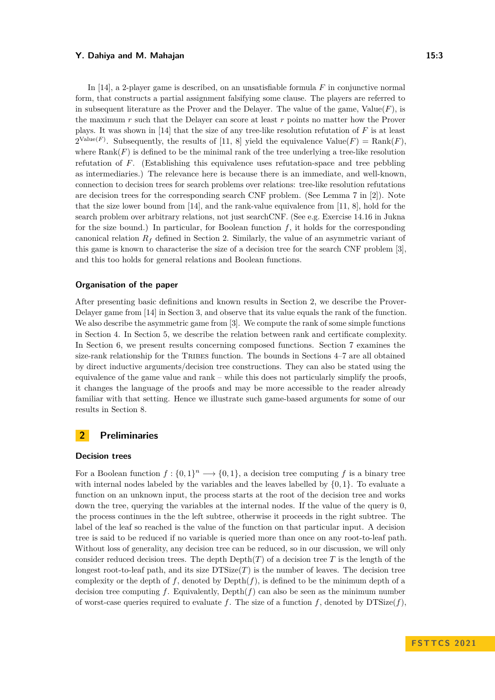In [\[14\]](#page-15-6), a 2-player game is described, on an unsatisfiable formula *F* in conjunctive normal form, that constructs a partial assignment falsifying some clause. The players are referred to in subsequent literature as the Prover and the Delayer. The value of the game,  $Value(F)$ , is the maximum *r* such that the Delayer can score at least *r* points no matter how the Prover plays. It was shown in [\[14\]](#page-15-6) that the size of any tree-like resolution refutation of *F* is at least  $2^{\text{Value}(F)}$ . Subsequently, the results of [\[11,](#page-15-8) [8\]](#page-15-7) yield the equivalence  $\text{Value}(F) = \text{Rank}(F)$ , where  $\text{Rank}(F)$  is defined to be the minimal rank of the tree underlying a tree-like resolution refutation of *F*. (Establishing this equivalence uses refutation-space and tree pebbling as intermediaries.) The relevance here is because there is an immediate, and well-known, connection to decision trees for search problems over relations: tree-like resolution refutations are decision trees for the corresponding search CNF problem. (See Lemma 7 in [\[2\]](#page-15-13)). Note that the size lower bound from [\[14\]](#page-15-6), and the rank-value equivalence from [\[11,](#page-15-8) [8\]](#page-15-7), hold for the search problem over arbitrary relations, not just searchCNF. (See e.g. Exercise 14.16 in Jukna for the size bound.) In particular, for Boolean function  $f$ , it holds for the corresponding canonical relation  $R_f$  defined in Section [2.](#page-2-0) Similarly, the value of an asymmetric variant of this game is known to characterise the size of a decision tree for the search CNF problem [\[3\]](#page-15-14), and this too holds for general relations and Boolean functions.

### **Organisation of the paper**

After presenting basic definitions and known results in Section [2,](#page-2-0) we describe the Prover-Delayer game from [\[14\]](#page-15-6) in Section [3,](#page-5-0) and observe that its value equals the rank of the function. We also describe the asymmetric game from [\[3\]](#page-15-14). We compute the rank of some simple functions in Section [4.](#page-6-0) In Section [5,](#page-8-2) we describe the relation between rank and certificate complexity. In Section [6,](#page-9-0) we present results concerning composed functions. Section [7](#page-13-0) examines the size-rank relationship for the TRIBES function. The bounds in Sections [4–](#page-6-0)[7](#page-13-0) are all obtained by direct inductive arguments/decision tree constructions. They can also be stated using the equivalence of the game value and rank – while this does not particularly simplify the proofs, it changes the language of the proofs and may be more accessible to the reader already familiar with that setting. Hence we illustrate such game-based arguments for some of our results in Section [8.](#page-13-1)

# <span id="page-2-0"></span>**2 Preliminaries**

#### **Decision trees**

For a Boolean function  $f: \{0,1\}^n \longrightarrow \{0,1\}$ , a decision tree computing f is a binary tree with internal nodes labeled by the variables and the leaves labelled by  $\{0,1\}$ . To evaluate a function on an unknown input, the process starts at the root of the decision tree and works down the tree, querying the variables at the internal nodes. If the value of the query is 0, the process continues in the the left subtree, otherwise it proceeds in the right subtree. The label of the leaf so reached is the value of the function on that particular input. A decision tree is said to be reduced if no variable is queried more than once on any root-to-leaf path. Without loss of generality, any decision tree can be reduced, so in our discussion, we will only consider reduced decision trees. The depth  $\text{Depth}(T)$  of a decision tree T is the length of the longest root-to-leaf path, and its size  $DTSize(T)$  is the number of leaves. The decision tree complexity or the depth of  $f$ , denoted by  $Depth(f)$ , is defined to be the minimum depth of a decision tree computing  $f$ . Equivalently, Depth $(f)$  can also be seen as the minimum number of worst-case queries required to evaluate *f*. The size of a function *f*, denoted by  $DTSize(f)$ ,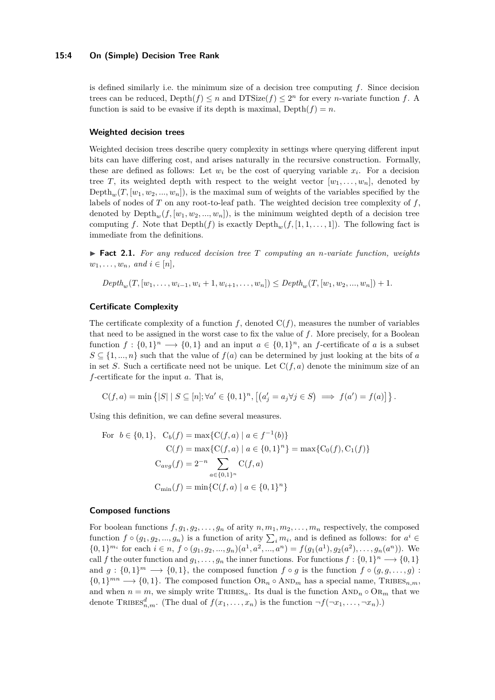### **15:4 On (Simple) Decision Tree Rank**

is defined similarly i.e. the minimum size of a decision tree computing *f*. Since decision trees can be reduced,  $Depth(f) \leq n$  and  $DTSize(f) \leq 2^n$  for every *n*-variate function *f*. A function is said to be evasive if its depth is maximal,  $Depth(f) = n$ .

### **Weighted decision trees**

Weighted decision trees describe query complexity in settings where querying different input bits can have differing cost, and arises naturally in the recursive construction. Formally, these are defined as follows: Let  $w_i$  be the cost of querying variable  $x_i$ . For a decision tree *T*, its weighted depth with respect to the weight vector  $[w_1, \ldots, w_n]$ , denoted by Depth<sub>w</sub> $(T, [w_1, w_2, ..., w_n])$ , is the maximal sum of weights of the variables specified by the labels of nodes of *T* on any root-to-leaf path. The weighted decision tree complexity of *f*, denoted by  $Depth_m(f,[w_1,w_2,...,w_n])$ , is the minimum weighted depth of a decision tree computing *f*. Note that  $Depth(f)$  is exactly  $Depth_w(f, [1, 1, \ldots, 1])$ . The following fact is immediate from the definitions.

<span id="page-3-0"></span>▶ **Fact 2.1.** *For any reduced decision tree T computing an n-variate function, weights*  $w_1, \ldots, w_n, \text{ and } i \in [n],$ 

 $Depth_w(T,[w_1,\ldots,w_{i-1},w_i+1,w_{i+1},\ldots,w_n])\leq Depth_w(T,[w_1,w_2,\ldots,w_n])+1.$ 

# **Certificate Complexity**

The certificate complexity of a function  $f$ , denoted  $C(f)$ , measures the number of variables that need to be assigned in the worst case to fix the value of *f*. More precisely, for a Boolean function  $f: \{0,1\}^n \longrightarrow \{0,1\}$  and an input  $a \in \{0,1\}^n$ , an *f*-certificate of *a* is a subset  $S \subseteq \{1, ..., n\}$  such that the value of  $f(a)$  can be determined by just looking at the bits of *a* in set *S*. Such a certificate need not be unique. Let  $C(f, a)$  denote the minimum size of an *f*-certificate for the input *a*. That is,

$$
C(f,a) = \min \left\{ |S| \mid S \subseteq [n]; \forall a' \in \{0,1\}^n, \left[ (a'_j = a_j \forall j \in S) \implies f(a') = f(a) \right] \right\}.
$$

Using this definition, we can define several measures.

For 
$$
b \in \{0, 1\}
$$
,  $C_b(f) = \max\{C(f, a) | a \in f^{-1}(b)\}$   
\n $C(f) = \max\{C(f, a) | a \in \{0, 1\}^n\} = \max\{C_0(f), C_1(f)\}$   
\n $C_{avg}(f) = 2^{-n} \sum_{a \in \{0, 1\}^n} C(f, a)$   
\n $C_{\min}(f) = \min\{C(f, a) | a \in \{0, 1\}^n\}$ 

### **Composed functions**

For boolean functions  $f, g_1, g_2, \ldots, g_n$  of arity  $n, m_1, m_2, \ldots, m_n$  respectively, the composed function  $f \circ (g_1, g_2, \ldots, g_n)$  is a function of arity  $\sum_i m_i$ , and is defined as follows: for  $a^i \in$  $\{0,1\}^{m_i}$  for each  $i \in n$ ,  $f \circ (g_1, g_2, ..., g_n)(a^1, a^2, ..., a^n) = f(g_1(a^1), g_2(a^2), ..., g_n(a^n))$ . We call *f* the outer function and  $g_1, \ldots, g_n$  the inner functions. For functions  $f: \{0,1\}^n \longrightarrow \{0,1\}$ and  $g: \{0,1\}^m \longrightarrow \{0,1\}$ , the composed function  $f \circ g$  is the function  $f \circ (g, g, \ldots, g)$ :  ${0,1}^{mn} \rightarrow {0,1}$ . The composed function  $\text{OR}_n \circ \text{AND}_m$  has a special name, TRIBES<sub>n,m</sub>, and when  $n = m$ , we simply write TRIBES<sub>n</sub>. Its dual is the function  $AND_n \circ OR_m$  that we denote TRIBES<sup> $d$ </sup><sub>*n,m*</sub>. (The dual of  $f(x_1, \ldots, x_n)$  is the function  $\neg f(\neg x_1, \ldots, \neg x_n)$ .)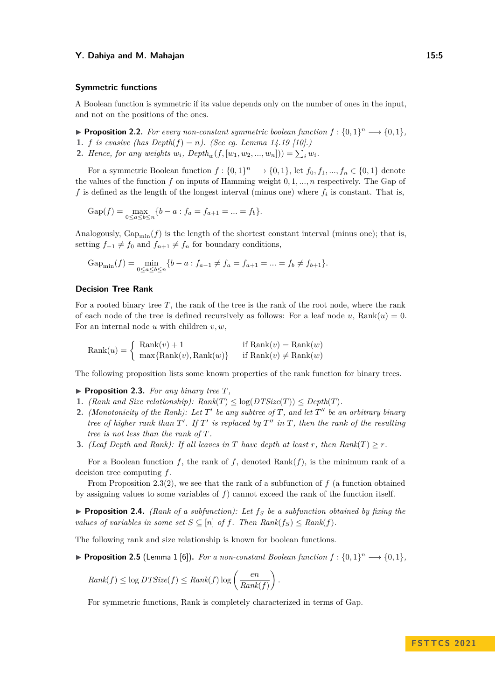#### **Symmetric functions**

A Boolean function is symmetric if its value depends only on the number of ones in the input, and not on the positions of the ones.

<span id="page-4-4"></span>▶ **Proposition 2.2.** *For every non-constant symmetric boolean function*  $f: \{0,1\}^n \longrightarrow \{0,1\}$ *,* 

- **1.** *f is evasive (has Depth* $(f) = n$ *). (See eq. Lemma 14.19 [\[10\]](#page-15-0).)*
- **2.** *Hence, for any weights*  $w_i$ *, Depth<sub>w</sub>*( $f$ ,  $[w_1, w_2, ..., w_n]) = \sum_i w_i$ *.*

For a symmetric Boolean function  $f: \{0,1\}^n \longrightarrow \{0,1\}$ , let  $f_0, f_1, ..., f_n \in \{0,1\}$  denote the values of the function *f* on inputs of Hamming weight 0*,* 1*, ..., n* respectively. The Gap of f is defined as the length of the longest interval (minus one) where  $f_i$  is constant. That is,

Gap(f) = 
$$
\max_{0 \le a \le b \le n} \{b - a : f_a = f_{a+1} = ... = f_b\}.
$$

Analogously,  $\text{Gap}_{\text{min}}(f)$  is the length of the shortest constant interval (minus one); that is, setting  $f_{-1} \neq f_0$  and  $f_{n+1} \neq f_n$  for boundary conditions,

$$
\text{Gap}_{\min}(f) = \min_{0 \le a \le b \le n} \{b - a : f_{a-1} \ne f_a = f_{a+1} = \dots = f_b \ne f_{b+1}\}.
$$

# **Decision Tree Rank**

For a rooted binary tree *T*, the rank of the tree is the rank of the root node, where the rank of each node of the tree is defined recursively as follows: For a leaf node  $u$ , Rank $(u) = 0$ . For an internal node *u* with children *v, w*,

$$
Rank(u) = \begin{cases} Rank(v) + 1 & \text{if Rank}(v) = Rank(w) \\ max\{Rank(v), Rank(w)\} & \text{if Rank}(v) \neq Rank(w) \end{cases}
$$

<span id="page-4-0"></span>The following proposition lists some known properties of the rank function for binary trees.

- $\blacktriangleright$  **Proposition 2.3.** *For any binary tree T,*
- **1.** *(Rank and Size relationship):*  $Rank(T) \leq log(DTSize(T)) \leq Depth(T)$ *.*
- <span id="page-4-1"></span>**2.** *(Monotonicity of the Rank): Let*  $T'$  *be any subtree of*  $T$ *, and let*  $T''$  *be an arbitrary binary tree of higher rank than T* ′ *. If T* ′ *is replaced by T* ′′ *in T, then the rank of the resulting tree is not less than the rank of T.*
- **3.** *(Leaf Depth and Rank): If all leaves in T have depth at least r*, *then Rank*(*T*)  $\geq r$ *.*

For a Boolean function *f*, the rank of *f*, denoted Rank(*f*), is the minimum rank of a decision tree computing *f*.

From Proposition [2.3\(](#page-4-0)[2\)](#page-4-1), we see that the rank of a subfunction of  $f$  (a function obtained by assigning values to some variables of *f*) cannot exceed the rank of the function itself.

<span id="page-4-3"></span>▶ **Proposition 2.4.** *(Rank of a subfunction): Let f<sup>S</sup> be a subfunction obtained by fixing the values of variables in some set*  $S \subseteq [n]$  *of*  $f$ *. Then Rank*( $f_S$ )  $\leq$  *Rank*( $f$ )*.* 

<span id="page-4-5"></span>The following rank and size relationship is known for boolean functions.

▶ **Proposition 2.5** (Lemma 1 [\[6\]](#page-15-1)). For a non-constant Boolean function  $f: \{0,1\}^n \longrightarrow \{0,1\}$ ,

$$
Rank(f) \le \log DTSize(f) \le Rank(f) \log \left(\frac{en}{Rank(f)}\right).
$$

<span id="page-4-2"></span>For symmetric functions, Rank is completely characterized in terms of Gap.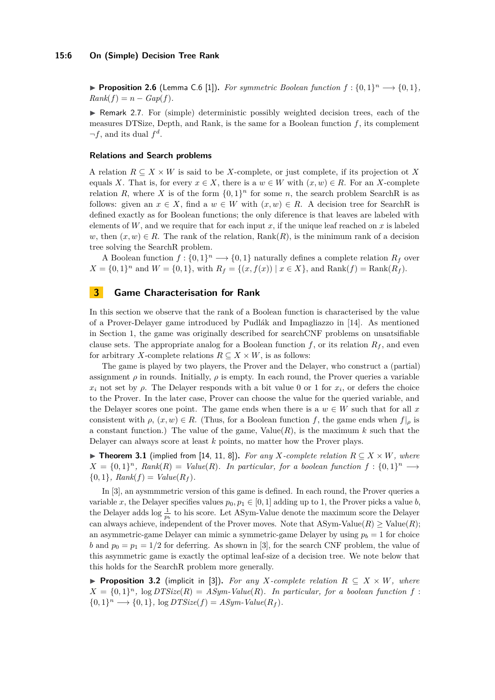### **15:6 On (Simple) Decision Tree Rank**

▶ **Proposition 2.6** (Lemma C.6 [\[1\]](#page-15-2)). *For symmetric Boolean function*  $f: \{0,1\}^n \longrightarrow \{0,1\}$ ,  $Rank(f) = n - Gap(f)$ .

▶ Remark 2.7. For (simple) deterministic possibly weighted decision trees, each of the measures DTSize, Depth, and Rank, is the same for a Boolean function  $f$ , its complement  $\neg f$ , and its dual  $f^d$ .

### **Relations and Search problems**

A relation  $R \subseteq X \times W$  is said to be *X*-complete, or just complete, if its projection ot X equals *X*. That is, for every  $x \in X$ , there is a  $w \in W$  with  $(x, w) \in R$ . For an *X*-complete relation *R*, where *X* is of the form  $\{0,1\}^n$  for some *n*, the search problem SearchR is as follows: given an  $x \in X$ , find a  $w \in W$  with  $(x, w) \in R$ . A decision tree for SearchR is defined exactly as for Boolean functions; the only diference is that leaves are labeled with elements of  $W$ , and we require that for each input  $x$ , if the unique leaf reached on  $x$  is labeled *w*, then  $(x, w) \in R$ . The rank of the relation,  $Rank(R)$ , is the minimum rank of a decision tree solving the SearchR problem.

A Boolean function  $f: \{0,1\}^n \longrightarrow \{0,1\}$  naturally defines a complete relation  $R_f$  over  $X = \{0, 1\}^n$  and  $W = \{0, 1\}$ , with  $R_f = \{(x, f(x)) \mid x \in X\}$ , and  $\text{Rank}(f) = \text{Rank}(R_f)$ .

# <span id="page-5-0"></span>**3 Game Characterisation for Rank**

In this section we observe that the rank of a Boolean function is characterised by the value of a Prover-Delayer game introduced by Pudlák and Impagliazzo in [\[14\]](#page-15-6). As mentioned in Section [1,](#page-0-0) the game was originally described for searchCNF problems on unsatsifiable clause sets. The appropriate analog for a Boolean function  $f$ , or its relation  $R_f$ , and even for arbitrary *X*-complete relations  $R \subseteq X \times W$ , is as follows:

The game is played by two players, the Prover and the Delayer, who construct a (partial) assignment  $\rho$  in rounds. Initially,  $\rho$  is empty. In each round, the Prover queries a variable  $x_i$  not set by  $\rho$ . The Delayer responds with a bit value 0 or 1 for  $x_i$ , or defers the choice to the Prover. In the later case, Prover can choose the value for the queried variable, and the Delayer scores one point. The game ends when there is a  $w \in W$  such that for all x consistent with  $\rho$ ,  $(x, w) \in R$ . (Thus, for a Boolean function f, the game ends when  $f|_{\rho}$  is a constant function.) The value of the game,  $Value(R)$ , is the maximum k such that the Delayer can always score at least *k* points, no matter how the Prover plays.

<span id="page-5-1"></span>▶ **Theorem 3.1** (implied from [\[14,](#page-15-6) [11,](#page-15-8) [8\]](#page-15-7)). For any *X*-complete relation  $R \subset X \times W$ , where  $X = \{0, 1\}^n$ ,  $Rank(R) = Value(R)$ . In particular, for a boolean function  $f: \{0, 1\}^n \longrightarrow$  $\{0, 1\}$ *, Rank*(*f*) =  $Value(R_f)$ *.* 

In [\[3\]](#page-15-14), an aysmmmetric version of this game is defined. In each round, the Prover queries a variable *x*, the Delayer specifies values  $p_0, p_1 \in [0, 1]$  adding up to 1, the Prover picks a value *b*, the Delayer adds  $\log \frac{1}{p_b}$  to his score. Let ASym-Value denote the maximum score the Delayer can always achieve, independent of the Prover moves. Note that  $ASym$ -Value $(R) \geq$ Value $(R)$ ; an asymmetric-game Delayer can mimic a symmetric-game Delayer by using  $p_b = 1$  for choice *b* and  $p_0 = p_1 = 1/2$  for deferring. As shown in [\[3\]](#page-15-14), for the search CNF problem, the value of this asymmetric game is exactly the optimal leaf-size of a decision tree. We note below that this holds for the SearchR problem more generally.

<span id="page-5-2"></span>▶ **Proposition 3.2** (implicit in [\[3\]](#page-15-14)). For any *X*-complete relation  $R \subseteq X \times W$ , where  $X = \{0, 1\}^n$ ,  $\log DTSize(R) = ASym-Value(R)$ . In particular, for a boolean function f:  $\{0,1\}^n \longrightarrow \{0,1\}$ ,  $\log DTSize(f) = ASym-Value(R_f)$ .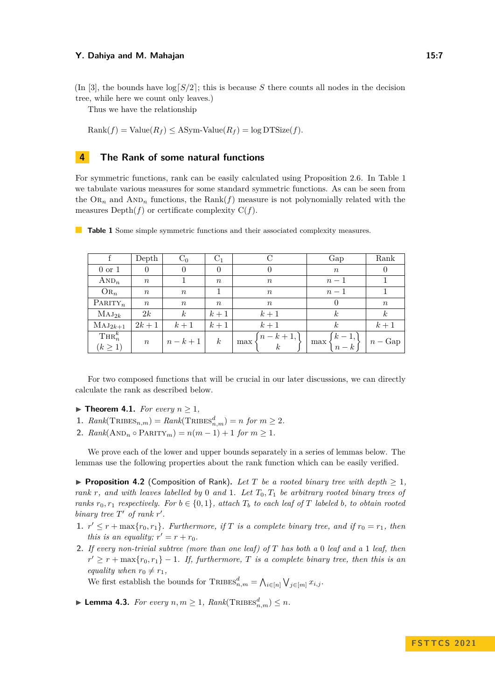tree, while here we count only leaves.)

Thus we have the relationship

 $Rank(f) = Value(R_f) \leq ASym-Value(R_f) = log DTSize(f)$ .

# <span id="page-6-0"></span>**4 The Rank of some natural functions**

For symmetric functions, rank can be easily calculated using Proposition [2.6.](#page-4-2) In Table [1](#page-6-1) we tabulate various measures for some standard symmetric functions. As can be seen from the  $\text{OR}_n$  and  $\text{AND}_n$  functions, the  $\text{Rank}(f)$  measure is not polynomially related with the measures  $Depth(f)$  or certificate complexity  $C(f)$ .

|                    | Depth            | $C_0$            | $C_1$            |                                                    | Gap                                         | Rank             |
|--------------------|------------------|------------------|------------------|----------------------------------------------------|---------------------------------------------|------------------|
| $0 \text{ or } 1$  | 0                | $\theta$         | $\theta$         |                                                    | $\boldsymbol{n}$                            |                  |
| $AND_n$            | $\, n$           |                  | $\boldsymbol{n}$ | $\boldsymbol{n}$                                   | $n-1$                                       |                  |
| $OR_n$             | $\, n$           | $\boldsymbol{n}$ |                  | $\boldsymbol{n}$                                   | $n-1$                                       |                  |
| $\text{PARTY}_n$   | $\,n$            | $\boldsymbol{n}$ | $\,n$            | $\boldsymbol{n}$                                   | $\theta$                                    | $\boldsymbol{n}$ |
| $MAJ_{2k}$         | 2k               | $\boldsymbol{k}$ | $k+1$            | $k+1$                                              | $\boldsymbol{k}$                            | $\boldsymbol{k}$ |
| $MAJ_{2k+1}$       | $2k+1$           | $k+1$            | $k+1$            | $k+1$                                              | $\kappa$                                    | $k+1$            |
| $\mathrm{THR}_n^k$ | $\boldsymbol{n}$ | $n-k+1$          | $\boldsymbol{k}$ | $\begin{Bmatrix} n-k+1, \\ k \end{Bmatrix}$<br>max | $\begin{Bmatrix} k-1, \\ n-k \end{Bmatrix}$ |                  |
| $(k \geq 1)$       |                  |                  |                  |                                                    | max                                         | $n - \text{Gap}$ |

<span id="page-6-1"></span>**Table 1** Some simple symmetric functions and their associated complexity measures.

For two composed functions that will be crucial in our later discussions, we can directly calculate the rank as described below.

- <span id="page-6-4"></span> $\blacktriangleright$  **Theorem 4.1.** *For every*  $n \geq 1$ *,*
- **1.**  $Rank(\text{TRIBES}_{n,m}) = Rank(\text{TRIBES}_{n,m}^d) = n \text{ for } m \geq 2.$
- **2.**  $Rank(\text{AND}_n \circ \text{PARITY}_m) = n(m-1) + 1$  for  $m \ge 1$ .

We prove each of the lower and upper bounds separately in a series of lemmas below. The lemmas use the following properties about the rank function which can be easily verified.

<span id="page-6-2"></span>▶ **Proposition 4.2** (Composition of Rank). Let T be a rooted binary tree with depth  $\geq 1$ , *rank r, and with leaves labelled by* 0 *and* 1*. Let T*0*, T*<sup>1</sup> *be arbitrary rooted binary trees of ranks*  $r_0, r_1$  *respectively. For*  $b \in \{0, 1\}$ *, attach*  $T_b$  *to each leaf of*  $T$  *labeled*  $b$ *, to obtain rooted binary tree*  $T'$  *of rank r'*.

- **1.**  $r' \leq r + \max\{r_0, r_1\}$ . Furthermore, if T is a complete binary tree, and if  $r_0 = r_1$ , then *this is an equality;*  $r' = r + r_0$ *.*
- **2.** *If every non-trivial subtree (more than one leaf) of T has both a* 0 *leaf and a* 1 *leaf, then*  $r' \geq r + \max\{r_0, r_1\} - 1$ . If, furthermore, *T* is a complete binary tree, then this is an *equality when*  $r_0 \neq r_1$ ,

We first establish the bounds for  $\text{TRIBES}_{n,m}^d = \bigwedge_{i \in [n]} \bigvee_{j \in [m]} x_{i,j}$ .

<span id="page-6-3"></span>▶ **Lemma 4.3.** *For every*  $n, m ≥ 1$ ,  $Rank(\text{TRIBES}_{n,m}^d) ≤ n$ .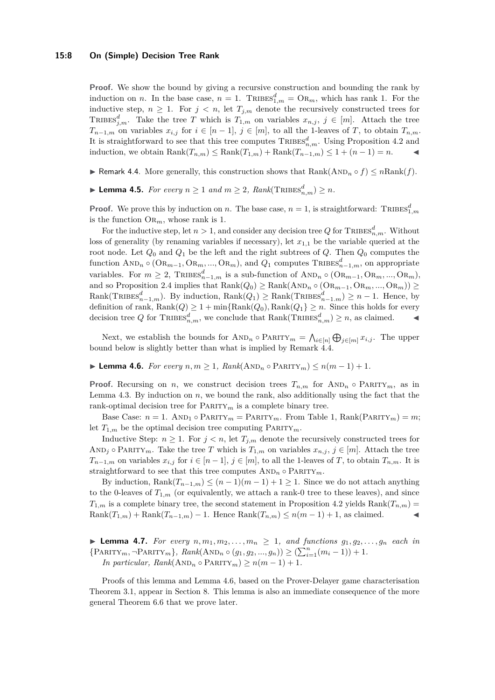### **15:8 On (Simple) Decision Tree Rank**

**Proof.** We show the bound by giving a recursive construction and bounding the rank by induction on *n*. In the base case,  $n = 1$ . TRIBES<sup> $d$ </sup><sub>1,*m*</sub> = OR<sub>*m*</sub>, which has rank 1. For the inductive step,  $n \geq 1$ . For  $j < n$ , let  $T_{j,m}$  denote the recursively constructed trees for TRIBES<sup> $d$ </sup><sub>*j,m*</sub>. Take the tree *T* which is  $T_{1,m}$  on variables  $x_{n,j}$ ,  $j \in [m]$ . Attach the tree *T*<sub>*n*−1*,m*</sub> on variables  $x_{i,j}$  for  $i \in [n-1]$ ,  $j \in [m]$ , to all the 1-leaves of *T*, to obtain  $T_{n,m}$ . It is straightforward to see that this tree computes  $\text{TRIBES}_{n,m}^d$ . Using Proposition [4.2](#page-6-2) and induction, we obtain  $\text{Rank}(T_{n,m}) \le \text{Rank}(T_{1,m}) + \text{Rank}(T_{n-1,m}) \le 1 + (n-1) = n$ .

- <span id="page-7-0"></span>▶ Remark 4.4. More generally, this construction shows that  $\text{Rank}(\text{AND}_n \circ f) \leq n \text{Rank}(f)$ .
- <span id="page-7-2"></span>▶ **Lemma 4.5.** *For every*  $n \ge 1$  *and*  $m \ge 2$ ,  $Rank(\text{TRIBES}_{n,m}^d) \ge n$ *.*

**Proof.** We prove this by induction on *n*. The base case,  $n = 1$ , is straightforward: TRIBES<sup>*d*</sup><sub>1,*m*</sub> is the function  $\text{OR}_m$ , whose rank is 1.

For the inductive step, let  $n > 1$ , and consider any decision tree  $Q$  for  $\text{TRIBES}^d_{n,m}$ . Without loss of generality (by renaming variables if necessary), let  $x_{1,1}$  be the variable queried at the root node. Let  $Q_0$  and  $Q_1$  be the left and the right subtrees of  $Q$ . Then  $Q_0$  computes the  $function \text{ AND}_n \circ (\text{OR}_{m-1}, \text{OR}_m, ..., \text{OR}_m)$ , and  $Q_1$  computes  $\text{TRIBES}_{n-1,m}^d$ , on appropriate variables. For  $m \ge 2$ ,  $\text{TRIBES}_{n-1,m}^d$  is a sub-function of  $\text{AND}_n \circ (\text{OR}_{m-1}, \text{OR}_m, ..., \text{OR}_m)$ , and so Proposition [2.4](#page-4-3) implies that  $\text{Rank}(Q_0) \ge \text{Rank}(\text{AND}_n \circ (\text{OR}_{m-1}, \text{OR}_m, ..., \text{OR}_m)) \ge$  $\text{Rank}(\text{TRIBES}_{n-1,m}^d)$ . By induction,  $\text{Rank}(Q_1) \ge \text{Rank}(\text{TRIBES}_{n-1,m}^d) \ge n-1$ . Hence, by definition of rank,  $\text{Rank}(Q) \ge 1 + \min{\text{Rank}(Q_0)}$ ,  $\text{Rank}(Q_1) \ge n$ . Since this holds for every decision tree *Q* for TRIBES<sup>d</sup><sub>n,m</sub>, we conclude that  $\text{Rank}(\text{TRIBES}_{n,m}^d) \geq n$ , as claimed.  $\blacktriangleleft$ 

Next, we establish the bounds for  $\text{AND}_n \circ \text{PARTY}_m = \bigwedge_{i \in [n]} \bigoplus_{j \in [m]} x_{i,j}$ . The upper bound below is slightly better than what is implied by Remark [4.4.](#page-7-0)

<span id="page-7-1"></span>▶ **Lemma 4.6.** *For every*  $n, m \ge 1$ ,  $Rank(AND_n \circ PARTY_m) \le n(m-1) + 1$ .

**Proof.** Recursing on *n*, we construct decision trees  $T_{n,m}$  for  $AND_n \circ PARTY_m$ , as in Lemma [4.3.](#page-6-3) By induction on *n*, we bound the rank, also additionally using the fact that the rank-optimal decision tree for  $\text{PARTY}_m$  is a complete binary tree.

Base Case:  $n = 1$ . AND<sub>1</sub> ◦ PARITY<sub>*m*</sub> = PARITY<sub>*m*</sub>. From Table [1,](#page-6-1) Rank(PARITY<sub>*m*</sub>) = *m*; let  $T_{1,m}$  be the optimal decision tree computing  $\text{PARTY}_m$ .

Inductive Step:  $n \geq 1$ . For  $j < n$ , let  $T_{j,m}$  denote the recursively constructed trees for AND<sub>j</sub>  $\circ$  PARITY<sub>*m*</sub>. Take the tree *T* which is  $T_{1,m}$  on variables  $x_{n,j}$ ,  $j \in [m]$ . Attach the tree *T*<sub>*n*−1*,m*</sub> on variables  $x_{i,j}$  for  $i \in [n-1]$ ,  $j \in [m]$ , to all the 1-leaves of *T*, to obtain  $T_{n,m}$ . It is straightforward to see that this tree computes  $AND_n \circ PARTY_m$ .

By induction,  $\text{Rank}(T_{n-1,m}) \le (n-1)(m-1)+1 \ge 1$ . Since we do not attach anything to the 0-leaves of  $T_{1,m}$  (or equivalently, we attach a rank-0 tree to these leaves), and since  $T_{1,m}$  is a complete binary tree, the second statement in Proposition [4.2](#page-6-2) yields Rank $(T_{n,m})$  $Rank(T_{1,m}) + Rank(T_{n-1,m}) - 1$ . Hence  $Rank(T_{n,m}) \le n(m-1) + 1$ , as claimed.

<span id="page-7-3"></span>▶ **Lemma 4.7.** *For every*  $n, m_1, m_2, \ldots, m_n ≥ 1$ , and functions  $g_1, g_2, \ldots, g_n$  each in  ${PRARITY_m, \neg PARITY_m}, Rank(AND_n \circ (g_1, g_2, ..., g_n)) \ge (\sum_{i=1}^n (m_i - 1)) + 1.$ *In particular, Rank*( $AND_n \circ PARTY_m$ )  $\geq n(m-1)+1$ .

Proofs of this lemma and Lemma [4.6,](#page-7-1) based on the Prover-Delayer game characterisation Theorem [3.1,](#page-5-1) appear in Section [8.](#page-13-1) This lemma is also an immediate consequence of the more general Theorem [6.6](#page-12-0) that we prove later.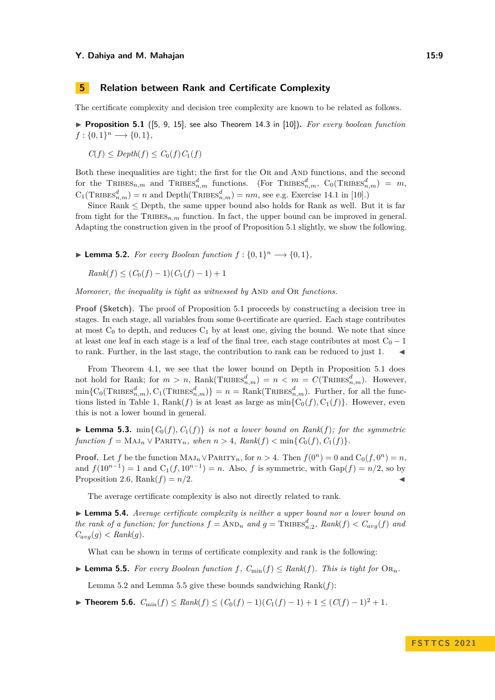# <span id="page-8-2"></span>**5 Relation between Rank and Certificate Complexity**

<span id="page-8-3"></span>The certificate complexity and decision tree complexity are known to be related as follows.

▶ **Proposition 5.1** ([\[5,](#page-15-15) [9,](#page-15-16) [15\]](#page-15-17), see also Theorem 14.3 in [\[10\]](#page-15-0))**.** *For every boolean function*  $f: \{0, 1\}^n \longrightarrow \{0, 1\},\$ 

$$
C(f) \le \text{Depth}(f) \le C_0(f)C_1(f)
$$

Both these inequalities are tight; the first for the OR and AND functions, and the second for the  $\text{TRIBES}_{n,m}$  and  $\text{TRIBES}_{n,m}^d$  functions. (For  $\text{TRIBES}_{n,m}^d$ ,  $\text{C}_0(\text{TRIBES}_{n,m}^d) = m$ ,  $C_1(\text{TRIBES}_{n,m}^d) = n$  and  $\text{Depth}(\text{TRIBES}_{n,m}^d) = nm$ , see e.g. Exercise 14.1 in [\[10\]](#page-15-0).)

Since  $Rank \le Depth$ , the same upper bound also holds for Rank as well. But it is far from tight for the TRIBES<sub>n,m</sub> function. In fact, the upper bound can be improved in general. Adapting the construction given in the proof of Proposition [5.1](#page-8-3) slightly, we show the following.

<span id="page-8-1"></span>▶ **Lemma 5.2.** *For every Boolean function*  $f$  :  $\{0,1\}$ <sup>*n*</sup> →  $\{0,1\}$ *,* 

 $Rank(f) < (C_0(f) - 1)(C_1(f) - 1) + 1$ 

*Moreover, the inequality is tight as witnessed by* AND and OR *functions.* 

**Proof (Sketch).** The proof of Proposition [5.1](#page-8-3) proceeds by constructing a decision tree in stages. In each stage, all variables from some 0-certificate are queried. Each stage contributes at most  $C_0$  to depth, and reduces  $C_1$  by at least one, giving the bound. We note that since at least one leaf in each stage is a leaf of the final tree, each stage contributes at most  $C_0 - 1$ to rank. Further, in the last stage, the contribution to rank can be reduced to just 1.

From Theorem [4.1,](#page-6-4) we see that the lower bound on Depth in Proposition [5.1](#page-8-3) does not hold for Rank; for  $m > n$ , Rank( $\text{TRIBES}_{n,m}^d$ ) =  $n < m = C(\text{TRIBES}_{n,m}^d)$ . However,  $\min\{C_0(\text{TRIBES}_{n,m}^d), C_1(\text{TRIBES}_{n,m}^d)\} = n = \text{Rank}(\text{TRIBES}_{n,m}^d)$ . Further, for all the func-tions listed in Table [1,](#page-6-1)  $Rank(f)$  is at least as large as  $min{C_0(f), C_1(f)}$ . However, even this is not a lower bound in general.

 $\blacktriangleright$  **Lemma 5.3.** min $\{C_0(f), C_1(f)\}$  *is not a lower bound on Rank* $(f)$ *; for the symmetric function*  $f = MAJ_n \vee \text{PARTY}_n$ *, when*  $n > 4$ *, Rank*(*f*)  $< \min\{C_0(f), C_1(f)\}$ *.* 

**Proof.** Let *f* be the function  $\text{MAJ}_n \vee \text{PARITY}_n$ , for  $n > 4$ . Then  $f(0^n) = 0$  and  $C_0(f, 0^n) = n$ , and  $f(10^{n-1}) = 1$  and  $C_1(f, 10^{n-1}) = n$ . Also, *f* is symmetric, with  $Gap(f) = n/2$ , so by Proposition [2.6,](#page-4-2) Rank $(f) = n/2$ .

The average certificate complexity is also not directly related to rank.

▶ **Lemma 5.4.** *Average certificate complexity is neither a upper bound nor a lower bound on the rank of a function; for functions*  $f = \text{AND}_n$  *and*  $g = \text{TRIBES}_{n,2}^d$ ,  $Rank(f) < C_{avg}(f)$  *and*  $C_{avg}(g) < Rank(g)$ .

What can be shown in terms of certificate complexity and rank is the following:

<span id="page-8-4"></span>▶ **Lemma 5.5.** *For every Boolean function*  $f$ *,*  $C_{\min}(f) \leq Rank(f)$ *. This is tight for*  $OR_n$ *.* 

Lemma [5.2](#page-8-1) and Lemma [5.5](#page-8-4) give these bounds sandwiching  $Rank(f)$ :

<span id="page-8-0"></span>▶ **Theorem 5.6.**  $C_{\min}(f) \leq Rank(f) \leq (C_0(f) - 1)(C_1(f) - 1) + 1 \leq (C(f) - 1)^2 + 1$ .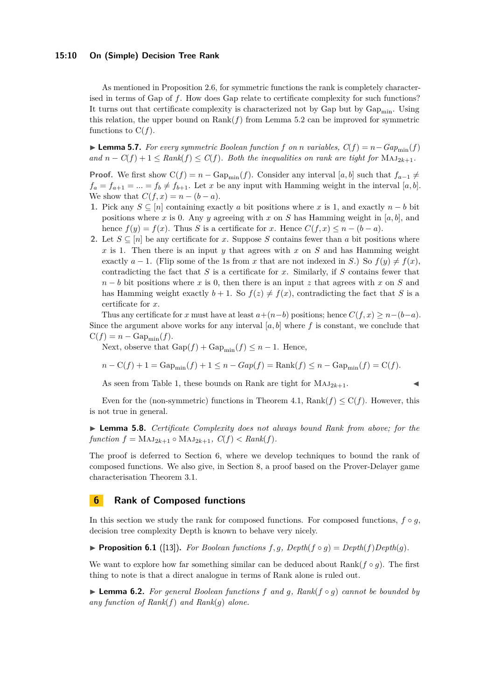### **15:10 On (Simple) Decision Tree Rank**

As mentioned in Proposition [2.6,](#page-4-2) for symmetric functions the rank is completely characterised in terms of Gap of *f*. How does Gap relate to certificate complexity for such functions? It turns out that certificate complexity is characterized not by Gap but by  $\text{Gap}_{\text{min}}$ . Using this relation, the upper bound on  $\text{Rank}(f)$  from Lemma [5.2](#page-8-1) can be improved for symmetric functions to  $C(f)$ .

▶ **Lemma 5.7.** *For every symmetric Boolean function f on n variables,*  $C(f) = n - Gap_{\text{min}}(f)$ *and*  $n - C(f) + 1 ≤ Rank(f) ≤ C(f)$ *. Both the inequalities on rank are tight for* MAJ<sub>2*k*+1</sub>*.* 

**Proof.** We first show  $C(f) = n - \text{Gap}_{\text{min}}(f)$ . Consider any interval [*a, b*] such that  $f_{a-1} \neq$  $f_a = f_{a+1} = ... = f_b \neq f_{b+1}$ . Let *x* be any input with Hamming weight in the interval [*a, b*]. We show that  $C(f, x) = n - (b - a)$ .

- **1.** Pick any  $S ⊆ [n]$  containing exactly *a* bit positions where *x* is 1, and exactly  $n b$  bit positions where *x* is 0. Any *y* agreeing with *x* on *S* has Hamming weight in [ $a, b$ ], and hence  $f(y) = f(x)$ . Thus *S* is a certificate for *x*. Hence  $C(f, x) \leq n - (b - a)$ .
- **2.** Let  $S \subseteq [n]$  be any certificate for *x*. Suppose *S* contains fewer than *a* bit positions where *x* is 1. Then there is an input *y* that agrees with *x* on *S* and has Hamming weight exactly  $a - 1$ . (Flip some of the 1s from x that are not indexed in *S*.) So  $f(y) \neq f(x)$ , contradicting the fact that *S* is a certificate for *x*. Similarly, if *S* contains fewer that *n* − *b* bit positions where *x* is 0, then there is an input *z* that agrees with *x* on *S* and has Hamming weight exactly  $b + 1$ . So  $f(z) \neq f(x)$ , contradicting the fact that *S* is a certificate for *x*.

Thus any certificate for *x* must have at least  $a+(n-b)$  positions; hence  $C(f, x) \geq n-(b-a)$ . Since the argument above works for any interval  $[a, b]$  where  $f$  is constant, we conclude that  $C(f) = n - \text{Gap}_{\min}(f).$ 

Next, observe that  $\text{Gap}(f) + \text{Gap}_{\min}(f) \leq n - 1$ . Hence,

$$
n - \mathcal{C}(f) + 1 = \text{Gap}_{\min}(f) + 1 \le n - \text{Gap}(f) = \text{Rank}(f) \le n - \text{Gap}_{\min}(f) = \mathcal{C}(f).
$$

As seen from Table [1,](#page-6-1) these bounds on Rank are tight for  $MAJ_{2k+1}$ .

Even for the (non-symmetric) functions in Theorem [4.1,](#page-6-4)  $\text{Rank}(f) \le C(f)$ . However, this is not true in general.

<span id="page-9-2"></span>▶ **Lemma 5.8.** *Certificate Complexity does not always bound Rank from above; for the*  $function f = MAJ_{2k+1} \circ MAJ_{2k+1}, C(f) < Rank(f).$ 

The proof is deferred to Section [6,](#page-9-0) where we develop techniques to bound the rank of composed functions. We also give, in Section [8,](#page-13-1) a proof based on the Prover-Delayer game characterisation Theorem [3.1.](#page-5-1)

# <span id="page-9-0"></span>**6 Rank of Composed functions**

In this section we study the rank for composed functions. For composed functions,  $f \circ q$ , decision tree complexity Depth is known to behave very nicely.

<span id="page-9-1"></span>▶ **Proposition 6.1** ([\[13\]](#page-15-9)). For Boolean functions  $f, g$ , Depth( $f \circ g$ ) = Depth( $f$ )Depth( $g$ ).

We want to explore how far something similar can be deduced about Rank $(f \circ g)$ . The first thing to note is that a direct analogue in terms of Rank alone is ruled out.

▶ **Lemma 6.2.** *For general Boolean functions f and g, Rank*(*f* ◦ *g*) *cannot be bounded by any function of Rank*(*f*) *and Rank*(*g*) *alone.*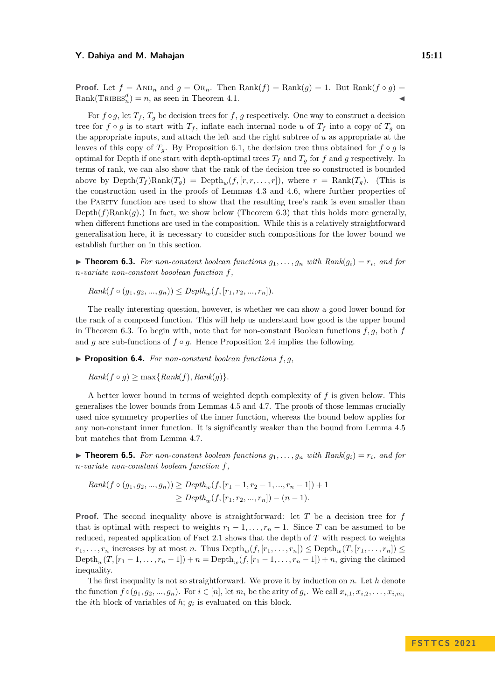**Proof.** Let  $f = \text{AND}_n$  and  $g = \text{OR}_n$ . Then  $\text{Rank}(f) = \text{Rank}(g) = 1$ . But  $\text{Rank}(f \circ g) = 1$ .  $Rank(\text{TRIBES}_n^d) = n$ , as seen in Theorem [4.1.](#page-6-4)

For  $f \circ g$ , let  $T_f$ ,  $T_g$  be decision trees for  $f$ ,  $g$  respectively. One way to construct a decision tree for  $f \circ g$  is to start with  $T_f$ , inflate each internal node *u* of  $T_f$  into a copy of  $T_g$  on the appropriate inputs, and attach the left and the right subtree of *u* as appropriate at the leaves of this copy of  $T_q$ . By Proposition [6.1,](#page-9-1) the decision tree thus obtained for  $f \circ g$  is optimal for Depth if one start with depth-optimal trees  $T_f$  and  $T_g$  for  $f$  and  $g$  respectively. In terms of rank, we can also show that the rank of the decision tree so constructed is bounded above by  $\text{Depth}(T_f) \text{Rank}(T_g) = \text{Depth}_m(f,[r,r,\ldots,r]),$  where  $r = \text{Rank}(T_g)$ . (This is the construction used in the proofs of Lemmas [4.3](#page-6-3) and [4.6,](#page-7-1) where further properties of the Parity function are used to show that the resulting tree's rank is even smaller than Depth $(f)$ Rank $(g)$ .) In fact, we show below (Theorem [6.3\)](#page-10-0) that this holds more generally, when different functions are used in the composition. While this is a relatively straightforward generalisation here, it is necessary to consider such compositions for the lower bound we establish further on in this section.

<span id="page-10-0"></span> $\triangleright$  **Theorem 6.3.** For non-constant boolean functions  $g_1, \ldots, g_n$  with  $Rank(g_i) = r_i$ , and for *n-variate non-constant booolean function f,*

 $Rank(f \circ (q_1, q_2, ..., q_n)) \leq Depth_{w}(f, [r_1, r_2, ..., r_n]).$ 

The really interesting question, however, is whether we can show a good lower bound for the rank of a composed function. This will help us understand how good is the upper bound in Theorem [6.3.](#page-10-0) To begin with, note that for non-constant Boolean functions *f, g*, both *f* and  $g$  are sub-functions of  $f \circ g$ . Hence Proposition [2.4](#page-4-3) implies the following.

 $\triangleright$  **Proposition 6.4.** *For non-constant boolean functions*  $f, g$ *,* 

 $Rank(f \circ q) > \max\{Rank(f), Rank(q)\}.$ 

A better lower bound in terms of weighted depth complexity of *f* is given below. This generalises the lower bounds from Lemmas [4.5](#page-7-2) and [4.7.](#page-7-3) The proofs of those lemmas crucially used nice symmetry properties of the inner function, whereas the bound below applies for any non-constant inner function. It is significantly weaker than the bound from Lemma [4.5](#page-7-2) but matches that from Lemma [4.7.](#page-7-3)

<span id="page-10-1"></span> $\triangleright$  **Theorem 6.5.** For non-constant boolean functions  $g_1, \ldots, g_n$  with  $Rank(g_i) = r_i$ , and for *n-variate non-constant boolean function f,*

Rank
$$
(f \circ (g_1, g_2, ..., g_n))
$$
  $\ge$   $Depth_w(f, [r_1 - 1, r_2 - 1, ..., r_n - 1]) + 1$   
 $\ge$   $Depth_w(f, [r_1, r_2, ..., r_n]) - (n - 1).$ 

**Proof.** The second inequality above is straightforward: let *T* be a decision tree for *f* that is optimal with respect to weights  $r_1 - 1, \ldots, r_n - 1$ . Since *T* can be assumed to be reduced, repeated application of Fact [2.1](#page-3-0) shows that the depth of *T* with respect to weights  $r_1, \ldots, r_n$  increases by at most *n*. Thus  $\text{Depth}_w(f, [r_1, \ldots, r_n]) \leq \text{Depth}_w(T, [r_1, \ldots, r_n]) \leq$ Depth<sub>w</sub>(*T*, [*r*<sub>1</sub> − 1, . . . , *r*<sub>*n*</sub> − 1]) + *n* = Depth<sub>w</sub>(*f*, [*r*<sub>1</sub> − 1, . . . , *r*<sub>*n*</sub> − 1]) + *n*, giving the claimed inequality.

The first inequality is not so straightforward. We prove it by induction on *n*. Let *h* denote the function  $f \circ (g_1, g_2, ..., g_n)$ . For  $i \in [n]$ , let  $m_i$  be the arity of  $g_i$ . We call  $x_{i,1}, x_{i,2}, \ldots, x_{i,m_i}$ the *i*th block of variables of  $h$ ;  $g_i$  is evaluated on this block.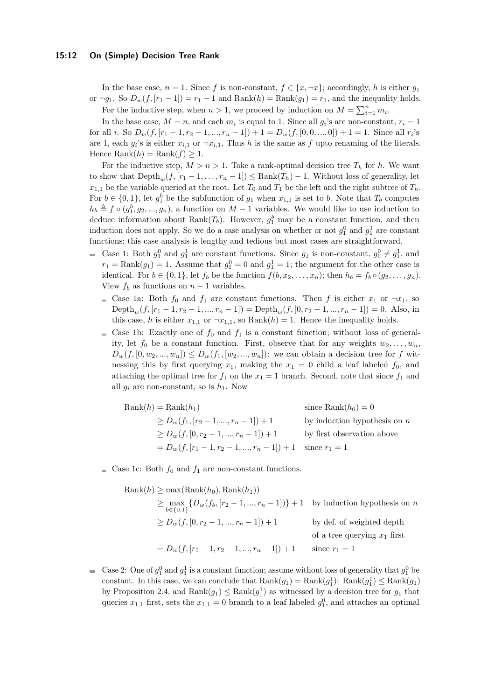### **15:12 On (Simple) Decision Tree Rank**

In the base case,  $n = 1$ . Since f is non-constant,  $f \in \{x, \neg x\}$ ; accordingly, h is either  $g_1$ or  $\neg g_1$ . So  $D_w(f, [r_1 - 1]) = r_1 - 1$  and  $Rank(h) = Rank(g_1) = r_1$ , and the inequality holds. For the inductive step, when  $n > 1$ , we proceed by induction on  $M = \sum_{i=1}^{n} m_i$ .

In the base case,  $M = n$ , and each  $m_i$  is equal to 1. Since all  $g_i$ 's are non-constant,  $r_i = 1$ for all *i*. So  $D_w(f, [r_1 - 1, r_2 - 1, ..., r_n - 1]) + 1 = D_w(f, [0, 0, ..., 0]) + 1 = 1$ . Since all  $r_i$ 's are 1, each  $g_i$ 's is either  $x_{i,1}$  or  $\neg x_{i,1}$ , Thus *h* is the same as *f* upto renaming of the literals. Hence  $\text{Rank}(h) = \text{Rank}(f) \ge 1$ .

For the inductive step,  $M > n > 1$ . Take a rank-optimal decision tree  $T_h$  for h. We want to show that  $Depth_w(f,[r_1-1,\ldots,r_n-1])\leq Rank(T_h)-1$ . Without loss of generality, let  $x_{1,1}$  be the variable queried at the root. Let  $T_0$  and  $T_1$  be the left and the right subtree of  $T_h$ . For  $b \in \{0, 1\}$ , let  $g_1^b$  be the subfunction of  $g_1$  when  $x_{1,1}$  is set to *b*. Note that  $T_b$  computes  $h_b \triangleq f \circ (g_1^b, g_2, ..., g_n)$ , a function on *M* − 1 variables. We would like to use induction to deduce information about  $\text{Rank}(T_b)$ . However,  $g_1^b$  may be a constant function, and then induction does not apply. So we do a case analysis on whether or not  $g_1^0$  and  $g_1^1$  are constant functions; this case analysis is lengthy and tedious but most cases are straightforward.

- Case 1: Both  $g_1^0$  and  $g_1^1$  are constant functions. Since  $g_1$  is non-constant,  $g_1^0 \neq g_1^1$ , and  $r_1 = \text{Rank}(g_1) = 1$ . Assume that  $g_1^0 = 0$  and  $g_1^1 = 1$ ; the argument for the other case is identical. For  $b \in \{0,1\}$ , let  $f_b$  be the function  $f(b, x_2, \ldots, x_n)$ ; then  $h_b = f_b \circ (g_2, \ldots, g_n)$ . View  $f_b$  as functions on  $n-1$  variables.
	- Gase 1a: Both  $f_0$  and  $f_1$  are constant functions. Then f is either  $x_1$  or  $\neg x_1$ , so  $\text{Depth}_w(f, [r_1-1, r_2-1, ..., r_n-1]) = \text{Depth}_w(f, [0, r_2-1, ..., r_n-1]) = 0.$  Also, in this case, *h* is either  $x_{1,1}$  or  $\neg x_{1,1}$ , so Rank $(h) = 1$ . Hence the inequality holds.
	- So Case 1b: Exactly one of  $f_0$  and  $f_1$  is a constant function; without loss of generality, let  $f_0$  be a constant function. First, observe that for any weights  $w_2, \ldots, w_n$ ,  $D_w(f, [0, w_2, ..., w_n]) \leq D_w(f_1, [w_2, ..., w_n])$ : we can obtain a decision tree for *f* witnessing this by first querying  $x_1$ , making the  $x_1 = 0$  child a leaf labeled  $f_0$ , and attaching the optimal tree for  $f_1$  on the  $x_1 = 1$  branch. Second, note that since  $f_1$  and all  $g_i$  are non-constant, so is  $h_1$ . Now

Rank(*h*) = Rank(*h*<sub>1</sub>) since Rank(*h*<sub>0</sub>) = 0  
\n
$$
\geq D_w(f_1, [r_2 - 1, ..., r_n - 1]) + 1
$$
 by induction hypothesis on *n*  
\n
$$
\geq D_w(f, [0, r_2 - 1, ..., r_n - 1]) + 1
$$
 by first observation above  
\n
$$
= D_w(f, [r_1 - 1, r_2 - 1, ..., r_n - 1]) + 1
$$
 since  $r_1 = 1$ 

Gase 1c: Both  $f_0$  and  $f_1$  are non-constant functions.

Rank(*h*) 
$$
\geq \max(\text{Rank}(h_0), \text{Rank}(h_1))
$$
  
\n $\geq \max_{b \in \{0,1\}} \{D_w(f_b, [r_2 - 1, ..., r_n - 1])\} + 1$  by induction hypothesis on *n*  
\n $\geq D_w(f, [0, r_2 - 1, ..., r_n - 1]) + 1$  by def. of weighted depth  
\nof a tree querying  $x_1$  first  
\n $= D_w(f, [r_1 - 1, r_2 - 1, ..., r_n - 1]) + 1$  since  $r_1 = 1$ 

Case 2: One of  $g_1^0$  and  $g_1^1$  is a constant function; assume without loss of generality that  $g_1^0$  be constant. In this case, we can conclude that  $\text{Rank}(g_1) = \text{Rank}(g_1^1)$ :  $\text{Rank}(g_1^1) \le \text{Rank}(g_1)$ by Proposition [2.4,](#page-4-3) and  $\text{Rank}(g_1) \le \text{Rank}(g_1^1)$  as witnessed by a decision tree for  $g_1$  that queries  $x_{1,1}$  first, sets the  $x_{1,1} = 0$  branch to a leaf labeled  $g_1^0$ , and attaches an optimal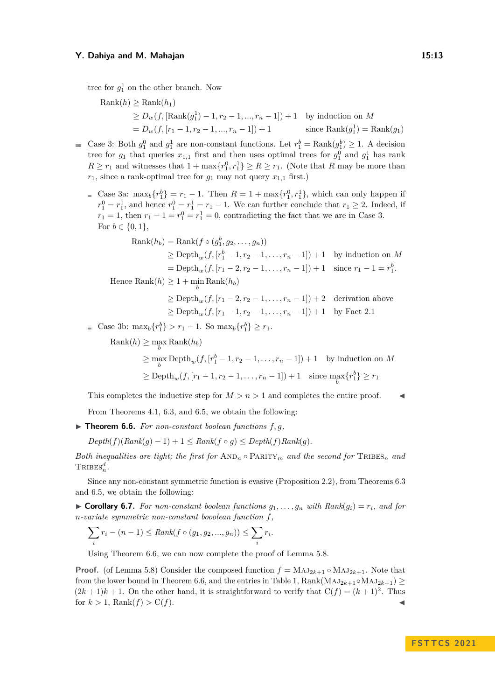tree for  $g_1^1$  on the other branch. Now

Rank(*h*) 
$$
\geq
$$
 Rank(*h*<sub>1</sub>)  
\n $\geq D_w(f, [\text{Rank}(g_1^1) - 1, r_2 - 1, ..., r_n - 1]) + 1$  by induction on *M*  
\n $= D_w(f, [r_1 - 1, r_2 - 1, ..., r_n - 1]) + 1$  since Rank(*g*<sub>1</sub>) = Rank(*g*<sub>1</sub>)

- Case 3: Both  $g_1^0$  and  $g_1^1$  are non-constant functions. Let  $r_1^b = \text{Rank}(g_1^b) \ge 1$ . A decision tree for  $g_1$  that queries  $x_{1,1}$  first and then uses optimal trees for  $g_1^0$  and  $g_1^1$  has rank  $R \ge r_1$  and witnesses that  $1 + \max\{r_1^0, r_1^1\} \ge R \ge r_1$ . (Note that *R* may be more than  $r_1$ , since a rank-optimal tree for  $g_1$  may not query  $x_{1,1}$  first.)
	- Case 3a:  $\max_b \{r_1^b\} = r_1 1$ . Then  $R = 1 + \max\{r_1^0, r_1^1\}$ , which can only happen if  $r_1^0 = r_1^1$ , and hence  $r_1^0 = r_1^1 = r_1 - 1$ . We can further conclude that  $r_1 \geq 2$ . Indeed, if  $r_1 = 1$ , then  $r_1 - 1 = r_1^0 = r_1^1 = 0$ , contradicting the fact that we are in Case 3. For  $b \in \{0, 1\},\$

Rank(
$$
h_b
$$
) = Rank( $f \circ (g_1^b, g_2, ..., g_n)$ )  
\n $\ge$  Depth<sub>w</sub>( $f, [r_1^b - 1, r_2 - 1, ..., r_n - 1]$ ) + 1 by induction on *M*  
\n= Depth<sub>w</sub>( $f, [r_1 - 2, r_2 - 1, ..., r_n - 1]$ ) + 1 since  $r_1 - 1 = r_1^b$ .

 $Hence Rank(h) \geq 1 + \min_b Rank(h_b)$ 

 $\geq$  Depth<sub>w</sub>(*f*, [ $r_1$  – 2,  $r_2$  – 1, ...,  $r_n$  – 1]) + 2 derivation above  $\geq$  Depth<sub>w</sub>(*f*,  $[r_1 - 1, r_2 - 1, \ldots, r_n - 1]$ ) + 1 by Fact [2.1](#page-3-0)

Case 3b:  $\max_b \{r_1^b\} > r_1 - 1$ . So  $\max_b \{r_1^b\} \ge r_1$ .

 $\text{Rank}(h) \ge \max_b \text{Rank}(h_b)$ 

$$
\geq \max_{b} \text{Depth}_{w}(f, [r_1^b - 1, r_2 - 1, \dots, r_n - 1]) + 1 \quad \text{by induction on } M
$$
  

$$
\geq \text{Depth}_{w}(f, [r_1 - 1, r_2 - 1, \dots, r_n - 1]) + 1 \quad \text{since } \max_{b} \{r_1^b\} \geq r_1
$$

This completes the inductive step for  $M > n > 1$  and completes the entire proof.

From Theorems [4.1,](#page-6-4) [6.3,](#page-10-0) and [6.5,](#page-10-1) we obtain the following:

<span id="page-12-0"></span> $\triangleright$  **Theorem 6.6.** For non-constant boolean functions  $f, g$ ,

 $Depth(f)(Rank(q)-1)+1 \leq Rank(f \circ q) \leq Depth(f)Rank(q)$ .

*Both inequalities are tight; the first for*  $AND_n \circ PARTY_m$  *and the second for*  $TRIBES_n$  *and*  $\text{TRIBES}_n^d$ .

Since any non-constant symmetric function is evasive (Proposition [2.2\)](#page-4-4), from Theorems [6.3](#page-10-0) and [6.5,](#page-10-1) we obtain the following:

 $\triangleright$  **Corollary 6.7.** For non-constant boolean functions  $g_1, \ldots, g_n$  with  $Rank(g_i) = r_i$ , and for *n-variate symmetric non-constant booolean function f,*

$$
\sum_{i} r_i - (n-1) \leq Rank(f \circ (g_1, g_2, ..., g_n)) \leq \sum_{i} r_i.
$$

Using Theorem [6.6,](#page-12-0) we can now complete the proof of Lemma [5.8.](#page-9-2)

**Proof.** (of Lemma [5.8\)](#page-9-2) Consider the composed function  $f = MAJ_{2k+1} \circ MAJ_{2k+1}$ . Note that from the lower bound in Theorem [6.6,](#page-12-0) and the entries in Table [1,](#page-6-1)  $\text{Rank}(\text{MAJ}_{2k+1} \circ \text{MAJ}_{2k+1})$  $(2k+1)k+1$ . On the other hand, it is straightforward to verify that  $C(f) = (k+1)^2$ . Thus for  $k > 1$ , Rank $(f) > C(f)$ .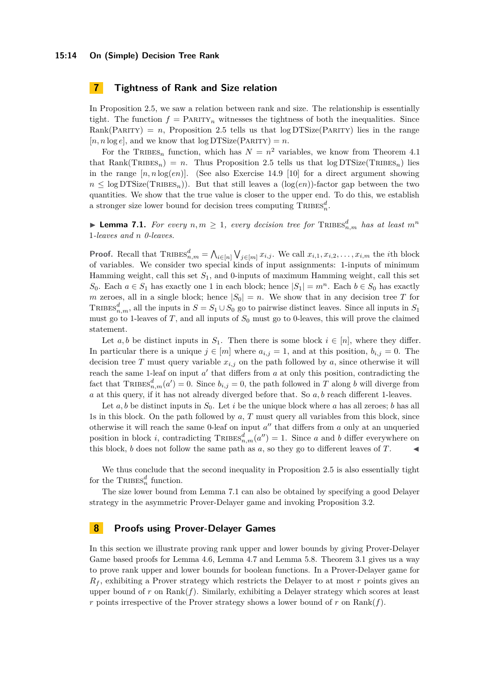# <span id="page-13-0"></span>**7 Tightness of Rank and Size relation**

In Proposition [2.5,](#page-4-5) we saw a relation between rank and size. The relationship is essentially tight. The function  $f = \text{PARTY}_n$  witnesses the tightness of both the inequalities. Since Rank(PARITY) =  $n$ , Proposition [2.5](#page-4-5) tells us that  $log DTSize(PARTY)$  lies in the range  $[n, n \log e]$ , and we know that  $\log \text{DTSize}(\text{PARTY}) = n$ .

For the TRIBES<sub>n</sub> function, which has  $N = n^2$  variables, we know from Theorem [4.1](#page-6-4) that Rank(TRIBES<sub>n</sub>) = *n*. Thus Proposition [2.5](#page-4-5) tells us that  $log DTSize(TRIBES_n)$  lies in the range  $[n, n \log(en)]$ . (See also Exercise 14.9 [\[10\]](#page-15-0) for a direct argument showing  $n \leq \log \text{DTSize}(\text{TRIES}_n)$ . But that still leaves a  $(\log(en))$ -factor gap between the two quantities. We show that the true value is closer to the upper end. To do this, we establish a stronger size lower bound for decision trees computing  $\mathrm{TRIBES}_n^d$ .

<span id="page-13-2"></span>▶ **Lemma 7.1.** *For every*  $n, m ≥ 1$ , *every decision tree for*  $\text{TRIBES}_{n,m}^d$  *has at least*  $m^n$ 1*-leaves and n 0-leaves.*

**Proof.** Recall that  $\text{TRIBES}_{n,m}^d = \bigwedge_{i \in [n]} \bigvee_{j \in [m]} x_{i,j}$ . We call  $x_{i,1}, x_{i,2}, \ldots, x_{i,m}$  the *i*th block of variables. We consider two special kinds of input assignments: 1-inputs of minimum Hamming weight, call this set *S*1, and 0-inputs of maximum Hamming weight, call this set *S*<sub>0</sub>. Each *a* ∈ *S*<sub>1</sub> has exactly one 1 in each block; hence  $|S_1| = m^n$ . Each *b* ∈ *S*<sub>0</sub> has exactly *m* zeroes, all in a single block; hence  $|S_0| = n$ . We show that in any decision tree *T* for TRIBES<sup> $d$ </sup><sub>*n,m*</sub>, all the inputs in  $S = S_1 \cup S_0$  go to pairwise distinct leaves. Since all inputs in  $S_1$ must go to 1-leaves of *T*, and all inputs of  $S_0$  must go to 0-leaves, this will prove the claimed statement.

Let *a*, *b* be distinct inputs in  $S_1$ . Then there is some block  $i \in [n]$ , where they differ. In particular there is a unique  $j \in [m]$  where  $a_{i,j} = 1$ , and at this position,  $b_{i,j} = 0$ . The decision tree *T* must query variable  $x_{i,j}$  on the path followed by *a*, since otherwise it will reach the same 1-leaf on input a' that differs from a at only this position, contradicting the fact that  $\text{TRIBES}_{n,m}^d(a') = 0$ . Since  $b_{i,j} = 0$ , the path followed in *T* along *b* will diverge from *a* at this query, if it has not already diverged before that. So *a, b* reach different 1-leaves.

Let a, b be distinct inputs in  $S_0$ . Let i be the unique block where a has all zeroes; b has all 1s in this block. On the path followed by *a*, *T* must query all variables from this block, since otherwise it will reach the same 0-leaf on input  $a''$  that differs from  $a$  only at an unqueried position in block *i*, contradicting  $\text{TRIBES}_{n,m}^d(a'') = 1$ . Since *a* and *b* differ everywhere on this block,  $b$  does not follow the same path as  $a$ , so they go to different leaves of  $T$ .

We thus conclude that the second inequality in Proposition [2.5](#page-4-5) is also essentially tight for the  $\text{TRIBES}_n^d$  function.

The size lower bound from Lemma [7.1](#page-13-2) can also be obtained by specifying a good Delayer strategy in the asymmetric Prover-Delayer game and invoking Proposition [3.2.](#page-5-2)

# <span id="page-13-1"></span>**8 Proofs using Prover-Delayer Games**

In this section we illustrate proving rank upper and lower bounds by giving Prover-Delayer Game based proofs for Lemma [4.6,](#page-7-1) Lemma [4.7](#page-7-3) and Lemma [5.8.](#page-9-2) Theorem [3.1](#page-5-1) gives us a way to prove rank upper and lower bounds for boolean functions. In a Prover-Delayer game for *R<sup>f</sup>* , exhibiting a Prover strategy which restricts the Delayer to at most *r* points gives an upper bound of  $r$  on Rank $(f)$ . Similarly, exhibiting a Delayer strategy which scores at least *r* points irrespective of the Prover strategy shows a lower bound of *r* on Rank(*f*).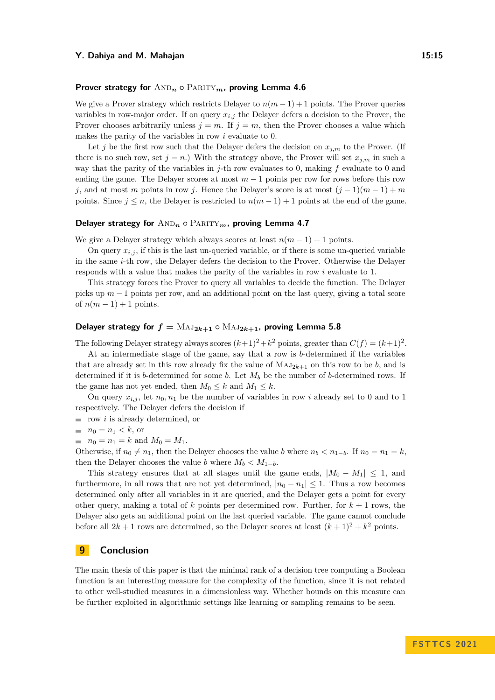### **Prover strategy for**  $\text{AND}_n \circ \text{PARITY}_m$ , proving Lemma [4.6](#page-7-1)

We give a Prover strategy which restricts Delayer to  $n(m-1)+1$  points. The Prover queries variables in row-major order. If on query  $x_{i,j}$  the Delayer defers a decision to the Prover, the Prover chooses arbitrarily unless  $j = m$ . If  $j = m$ , then the Prover chooses a value which makes the parity of the variables in row *i* evaluate to 0.

Let *j* be the first row such that the Delayer defers the decision on  $x_{j,m}$  to the Prover. (If there is no such row, set  $j = n$ .) With the strategy above, the Prover will set  $x_{j,m}$  in such a way that the parity of the variables in *j*-th row evaluates to 0, making *f* evaluate to 0 and ending the game. The Delayer scores at most  $m-1$  points per row for rows before this row *j*, and at most *m* points in row *j*. Hence the Delayer's score is at most  $(j-1)(m-1) + m$ points. Since  $j \leq n$ , the Delayer is restricted to  $n(m-1) + 1$  points at the end of the game.

### **Delayer strategy for**  $AND_n \circ PARITY_m$ , proving Lemma [4.7](#page-7-3)

We give a Delayer strategy which always scores at least  $n(m-1) + 1$  points.

On query  $x_{i,j}$ , if this is the last un-queried variable, or if there is some un-queried variable in the same *i*-th row, the Delayer defers the decision to the Prover. Otherwise the Delayer responds with a value that makes the parity of the variables in row *i* evaluate to 1.

This strategy forces the Prover to query all variables to decide the function. The Delayer picks up *m* − 1 points per row, and an additional point on the last query, giving a total score of  $n(m-1)+1$  points.

# **Delayer strategy for**  $f = MAJ_{2k+1} \circ MAJ_{2k+1}$ , proving Lemma [5.8](#page-9-2)

The following Delayer strategy always scores  $(k+1)^2 + k^2$  points, greater than  $C(f) = (k+1)^2$ .

At an intermediate stage of the game, say that a row is *b*-determined if the variables that are already set in this row already fix the value of  $MAJ_{2k+1}$  on this row to be *b*, and is determined if it is *b*-determined for some *b*. Let *M<sup>b</sup>* be the number of *b*-determined rows. If the game has not yet ended, then  $M_0 \leq k$  and  $M_1 \leq k$ .

On query  $x_{i,j}$ , let  $n_0, n_1$  be the number of variables in row *i* already set to 0 and to 1 respectively. The Delayer defers the decision if

- row *i* is already determined, or
- $n_0 = n_1 < k$ , or
- $n_0 = n_1 = k$  and  $M_0 = M_1$ .

Otherwise, if  $n_0 \neq n_1$ , then the Delayer chooses the value *b* where  $n_b < n_{1-b}$ . If  $n_0 = n_1 = k$ , then the Delayer chooses the value *b* where  $M_b < M_{1-b}$ .

This strategy ensures that at all stages until the game ends,  $|M_0 - M_1| \leq 1$ , and furthermore, in all rows that are not yet determined,  $|n_0 - n_1| \leq 1$ . Thus a row becomes determined only after all variables in it are queried, and the Delayer gets a point for every other query, making a total of  $k$  points per determined row. Further, for  $k+1$  rows, the Delayer also gets an additional point on the last queried variable. The game cannot conclude before all  $2k + 1$  rows are determined, so the Delayer scores at least  $(k + 1)^2 + k^2$  points.

# **9 Conclusion**

The main thesis of this paper is that the minimal rank of a decision tree computing a Boolean function is an interesting measure for the complexity of the function, since it is not related to other well-studied measures in a dimensionless way. Whether bounds on this measure can be further exploited in algorithmic settings like learning or sampling remains to be seen.